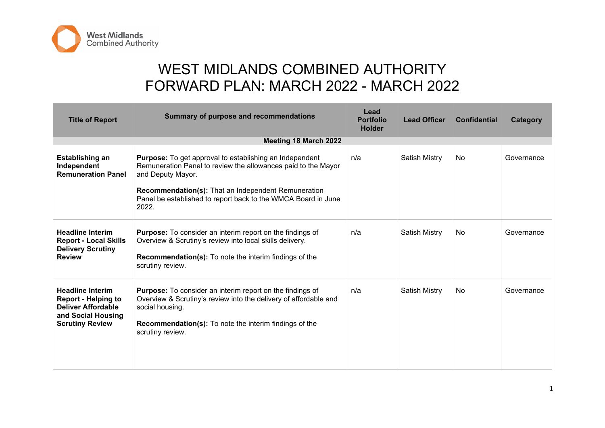

## WEST MIDLANDS COMBINED AUTHORITY FORWARD PLAN: MARCH 2022 - MARCH 2022

| <b>Title of Report</b>                                                                                                      | <b>Summary of purpose and recommendations</b>                                                                                                                                                                                                                                                | Lead<br><b>Portfolio</b><br><b>Holder</b> | <b>Lead Officer</b>  | <b>Confidential</b> | Category   |
|-----------------------------------------------------------------------------------------------------------------------------|----------------------------------------------------------------------------------------------------------------------------------------------------------------------------------------------------------------------------------------------------------------------------------------------|-------------------------------------------|----------------------|---------------------|------------|
|                                                                                                                             | <b>Meeting 18 March 2022</b>                                                                                                                                                                                                                                                                 |                                           |                      |                     |            |
| Establishing an<br>Independent<br><b>Remuneration Panel</b>                                                                 | <b>Purpose:</b> To get approval to establishing an Independent<br>Remuneration Panel to review the allowances paid to the Mayor<br>and Deputy Mayor.<br><b>Recommendation(s):</b> That an Independent Remuneration<br>Panel be established to report back to the WMCA Board in June<br>2022. | n/a                                       | <b>Satish Mistry</b> | <b>No</b>           | Governance |
| <b>Headline Interim</b><br><b>Report - Local Skills</b><br><b>Delivery Scrutiny</b><br><b>Review</b>                        | <b>Purpose:</b> To consider an interim report on the findings of<br>Overview & Scrutiny's review into local skills delivery.<br><b>Recommendation(s):</b> To note the interim findings of the<br>scrutiny review.                                                                            | n/a                                       | <b>Satish Mistry</b> | No.                 | Governance |
| <b>Headline Interim</b><br><b>Report - Helping to</b><br>Deliver Affordable<br>and Social Housing<br><b>Scrutiny Review</b> | <b>Purpose:</b> To consider an interim report on the findings of<br>Overview & Scrutiny's review into the delivery of affordable and<br>social housing.<br><b>Recommendation(s):</b> To note the interim findings of the<br>scrutiny review.                                                 | n/a                                       | <b>Satish Mistry</b> | <b>No</b>           | Governance |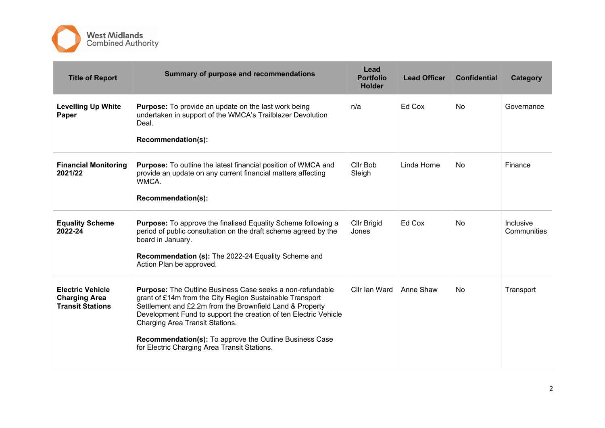

| <b>Title of Report</b>                                                     | <b>Summary of purpose and recommendations</b>                                                                                                                                                                                                                                                                                                                                                              | Lead<br><b>Portfolio</b><br><b>Holder</b> | <b>Lead Officer</b> | <b>Confidential</b> | Category                 |
|----------------------------------------------------------------------------|------------------------------------------------------------------------------------------------------------------------------------------------------------------------------------------------------------------------------------------------------------------------------------------------------------------------------------------------------------------------------------------------------------|-------------------------------------------|---------------------|---------------------|--------------------------|
| <b>Levelling Up White</b><br>Paper                                         | <b>Purpose:</b> To provide an update on the last work being<br>undertaken in support of the WMCA's Trailblazer Devolution<br>Deal.<br>Recommendation(s):                                                                                                                                                                                                                                                   | n/a                                       | Ed Cox              | <b>No</b>           | Governance               |
| <b>Financial Monitoring</b><br>2021/22                                     | <b>Purpose:</b> To outline the latest financial position of WMCA and<br>provide an update on any current financial matters affecting<br><b>WMCA</b><br>Recommendation(s):                                                                                                                                                                                                                                  | Cllr Bob<br>Sleigh                        | Linda Horne         | <b>No</b>           | Finance                  |
| <b>Equality Scheme</b><br>2022-24                                          | <b>Purpose:</b> To approve the finalised Equality Scheme following a<br>period of public consultation on the draft scheme agreed by the<br>board in January.<br>Recommendation (s): The 2022-24 Equality Scheme and<br>Action Plan be approved.                                                                                                                                                            | Cllr Brigid<br>Jones                      | Ed Cox              | N <sub>0</sub>      | Inclusive<br>Communities |
| <b>Electric Vehicle</b><br><b>Charging Area</b><br><b>Transit Stations</b> | <b>Purpose:</b> The Outline Business Case seeks a non-refundable<br>grant of £14m from the City Region Sustainable Transport<br>Settlement and £2.2m from the Brownfield Land & Property<br>Development Fund to support the creation of ten Electric Vehicle<br>Charging Area Transit Stations.<br>Recommendation(s): To approve the Outline Business Case<br>for Electric Charging Area Transit Stations. | Cllr Ian Ward                             | Anne Shaw           | <b>No</b>           | Transport                |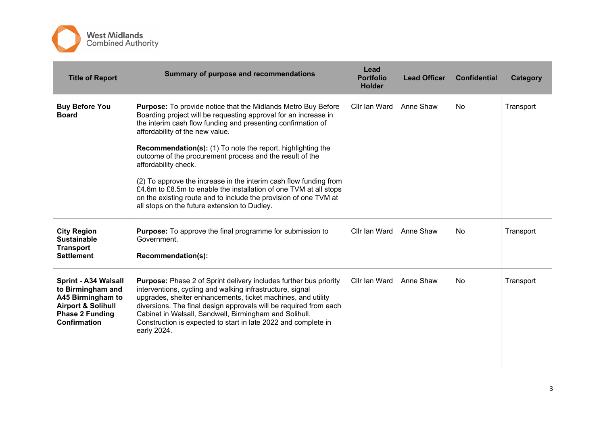

| <b>Title of Report</b>                                                                                                                           | Summary of purpose and recommendations                                                                                                                                                                                                                                                                                                                                                                                                                                                                                                                                                                                                                      | Lead<br><b>Portfolio</b><br><b>Holder</b> | <b>Lead Officer</b> | <b>Confidential</b> | Category  |
|--------------------------------------------------------------------------------------------------------------------------------------------------|-------------------------------------------------------------------------------------------------------------------------------------------------------------------------------------------------------------------------------------------------------------------------------------------------------------------------------------------------------------------------------------------------------------------------------------------------------------------------------------------------------------------------------------------------------------------------------------------------------------------------------------------------------------|-------------------------------------------|---------------------|---------------------|-----------|
| <b>Buy Before You</b><br><b>Board</b>                                                                                                            | Purpose: To provide notice that the Midlands Metro Buy Before<br>Boarding project will be requesting approval for an increase in<br>the interim cash flow funding and presenting confirmation of<br>affordability of the new value.<br><b>Recommendation(s):</b> (1) To note the report, highlighting the<br>outcome of the procurement process and the result of the<br>affordability check.<br>(2) To approve the increase in the interim cash flow funding from<br>£4.6m to £8.5m to enable the installation of one TVM at all stops<br>on the existing route and to include the provision of one TVM at<br>all stops on the future extension to Dudley. | Cllr Ian Ward                             | Anne Shaw           | <b>No</b>           | Transport |
| <b>City Region</b><br><b>Sustainable</b><br><b>Transport</b><br><b>Settlement</b>                                                                | <b>Purpose:</b> To approve the final programme for submission to<br>Government.<br>Recommendation(s):                                                                                                                                                                                                                                                                                                                                                                                                                                                                                                                                                       | Cllr Ian Ward                             | Anne Shaw           | No.                 | Transport |
| Sprint - A34 Walsall<br>to Birmingham and<br>A45 Birmingham to<br><b>Airport &amp; Solihull</b><br><b>Phase 2 Funding</b><br><b>Confirmation</b> | <b>Purpose:</b> Phase 2 of Sprint delivery includes further bus priority<br>interventions, cycling and walking infrastructure, signal<br>upgrades, shelter enhancements, ticket machines, and utility<br>diversions. The final design approvals will be required from each<br>Cabinet in Walsall, Sandwell, Birmingham and Solihull.<br>Construction is expected to start in late 2022 and complete in<br>early 2024.                                                                                                                                                                                                                                       | Cllr Ian Ward                             | Anne Shaw           | <b>No</b>           | Transport |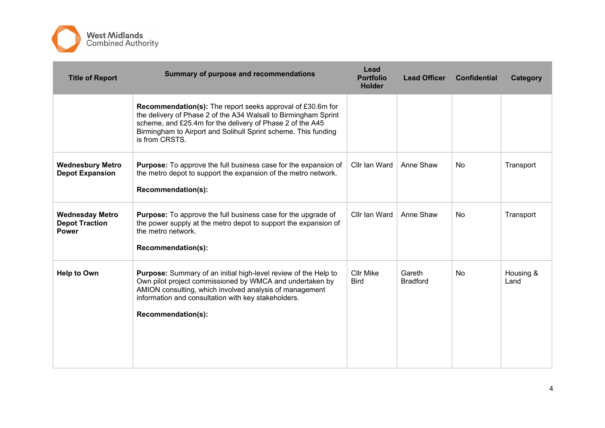

| <b>Title of Report</b>                                          | Summary of purpose and recommendations                                                                                                                                                                                                                                                | Lead<br><b>Portfolio</b><br><b>Holder</b> | <b>Lead Officer</b>       | <b>Confidential</b> | Category          |
|-----------------------------------------------------------------|---------------------------------------------------------------------------------------------------------------------------------------------------------------------------------------------------------------------------------------------------------------------------------------|-------------------------------------------|---------------------------|---------------------|-------------------|
|                                                                 | <b>Recommendation(s):</b> The report seeks approval of £30.6m for<br>the delivery of Phase 2 of the A34 Walsall to Birmingham Sprint<br>scheme, and £25.4m for the delivery of Phase 2 of the A45<br>Birmingham to Airport and Solihull Sprint scheme. This funding<br>is from CRSTS. |                                           |                           |                     |                   |
| <b>Wednesbury Metro</b><br><b>Depot Expansion</b>               | <b>Purpose:</b> To approve the full business case for the expansion of<br>the metro depot to support the expansion of the metro network.<br>Recommendation(s):                                                                                                                        | Cllr Ian Ward                             | Anne Shaw                 | No.                 | Transport         |
| <b>Wednesday Metro</b><br><b>Depot Traction</b><br><b>Power</b> | <b>Purpose:</b> To approve the full business case for the upgrade of<br>the power supply at the metro depot to support the expansion of<br>the metro network.<br>Recommendation(s):                                                                                                   | Cllr Ian Ward                             | Anne Shaw                 | No                  | Transport         |
| <b>Help to Own</b>                                              | Purpose: Summary of an initial high-level review of the Help to<br>Own pilot project commissioned by WMCA and undertaken by<br>AMION consulting, which involved analysis of management<br>information and consultation with key stakeholders.<br>Recommendation(s):                   | <b>Cllr Mike</b><br><b>Bird</b>           | Gareth<br><b>Bradford</b> | <b>No</b>           | Housing &<br>Land |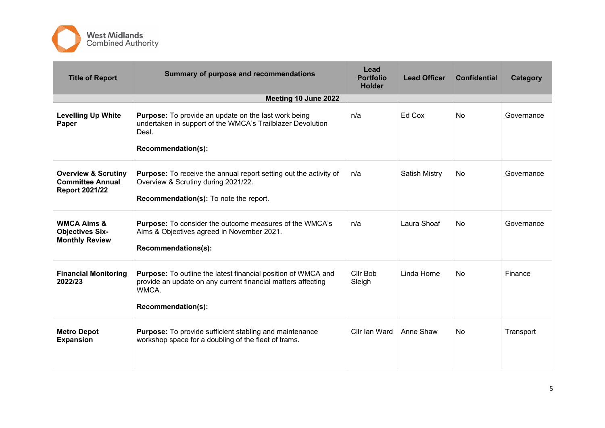

| <b>Title of Report</b>                                                             | Summary of purpose and recommendations                                                                                                                              | Lead<br><b>Portfolio</b><br><b>Holder</b> | <b>Lead Officer</b> | <b>Confidential</b> | Category   |
|------------------------------------------------------------------------------------|---------------------------------------------------------------------------------------------------------------------------------------------------------------------|-------------------------------------------|---------------------|---------------------|------------|
|                                                                                    | Meeting 10 June 2022                                                                                                                                                |                                           |                     |                     |            |
| <b>Levelling Up White</b><br>Paper                                                 | <b>Purpose:</b> To provide an update on the last work being<br>undertaken in support of the WMCA's Trailblazer Devolution<br>Deal.<br>Recommendation(s):            | n/a                                       | Ed Cox              | <b>No</b>           | Governance |
| <b>Overview &amp; Scrutiny</b><br><b>Committee Annual</b><br><b>Report 2021/22</b> | <b>Purpose:</b> To receive the annual report setting out the activity of<br>Overview & Scrutiny during 2021/22.<br><b>Recommendation(s):</b> To note the report.    | n/a                                       | Satish Mistry       | <b>No</b>           | Governance |
| <b>WMCA Aims &amp;</b><br><b>Objectives Six-</b><br><b>Monthly Review</b>          | <b>Purpose:</b> To consider the outcome measures of the WMCA's<br>Aims & Objectives agreed in November 2021.<br>Recommendations(s):                                 | n/a                                       | Laura Shoaf         | <b>No</b>           | Governance |
| <b>Financial Monitoring</b><br>2022/23                                             | <b>Purpose:</b> To outline the latest financial position of WMCA and<br>provide an update on any current financial matters affecting<br>WMCA.<br>Recommendation(s): | Cllr Bob<br>Sleigh                        | Linda Horne         | <b>No</b>           | Finance    |
| <b>Metro Depot</b><br><b>Expansion</b>                                             | Purpose: To provide sufficient stabling and maintenance<br>workshop space for a doubling of the fleet of trams.                                                     | Cllr Ian Ward                             | Anne Shaw           | <b>No</b>           | Transport  |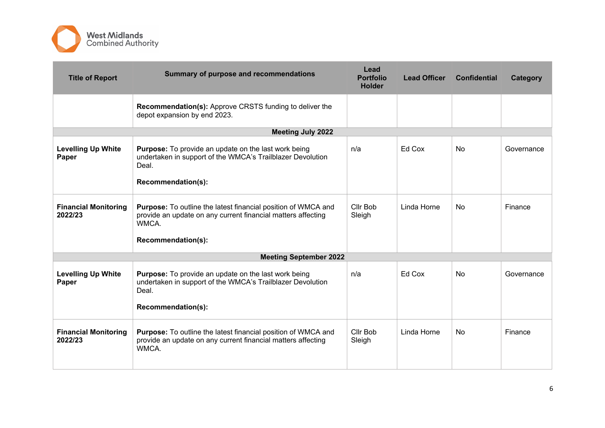

| <b>Title of Report</b>                 | Summary of purpose and recommendations                                                                                                                              | Lead<br><b>Portfolio</b><br><b>Holder</b> | <b>Lead Officer</b> | <b>Confidential</b> | Category   |
|----------------------------------------|---------------------------------------------------------------------------------------------------------------------------------------------------------------------|-------------------------------------------|---------------------|---------------------|------------|
|                                        | <b>Recommendation(s):</b> Approve CRSTS funding to deliver the<br>depot expansion by end 2023.                                                                      |                                           |                     |                     |            |
|                                        | <b>Meeting July 2022</b>                                                                                                                                            |                                           |                     |                     |            |
| <b>Levelling Up White</b><br>Paper     | <b>Purpose:</b> To provide an update on the last work being<br>undertaken in support of the WMCA's Trailblazer Devolution<br>Deal.<br>Recommendation(s):            | n/a                                       | Ed Cox              | No.                 | Governance |
| <b>Financial Monitoring</b><br>2022/23 | <b>Purpose:</b> To outline the latest financial position of WMCA and<br>provide an update on any current financial matters affecting<br>WMCA.<br>Recommendation(s): | Cllr Bob<br>Sleigh                        | Linda Horne         | No.                 | Finance    |
|                                        | <b>Meeting September 2022</b>                                                                                                                                       |                                           |                     |                     |            |
| <b>Levelling Up White</b><br>Paper     | Purpose: To provide an update on the last work being<br>undertaken in support of the WMCA's Trailblazer Devolution<br>Deal.<br>Recommendation(s):                   | n/a                                       | Ed Cox              | <b>No</b>           | Governance |
| <b>Financial Monitoring</b><br>2022/23 | Purpose: To outline the latest financial position of WMCA and<br>provide an update on any current financial matters affecting<br>WMCA.                              | Cllr Bob<br>Sleigh                        | Linda Horne         | <b>No</b>           | Finance    |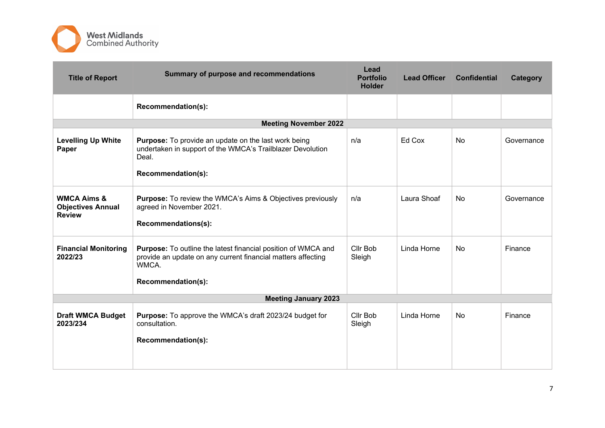

| <b>Title of Report</b>                                              | Summary of purpose and recommendations                                                                                                                              | Lead<br><b>Portfolio</b><br><b>Holder</b> | <b>Lead Officer</b> | <b>Confidential</b> | Category   |
|---------------------------------------------------------------------|---------------------------------------------------------------------------------------------------------------------------------------------------------------------|-------------------------------------------|---------------------|---------------------|------------|
|                                                                     | Recommendation(s):                                                                                                                                                  |                                           |                     |                     |            |
|                                                                     | <b>Meeting November 2022</b>                                                                                                                                        |                                           |                     |                     |            |
| <b>Levelling Up White</b><br>Paper                                  | Purpose: To provide an update on the last work being<br>undertaken in support of the WMCA's Trailblazer Devolution<br>Deal.<br>Recommendation(s):                   | n/a                                       | Ed Cox              | <b>No</b>           | Governance |
| <b>WMCA Aims &amp;</b><br><b>Objectives Annual</b><br><b>Review</b> | <b>Purpose:</b> To review the WMCA's Aims & Objectives previously<br>agreed in November 2021.<br>Recommendations(s):                                                | n/a                                       | Laura Shoaf         | <b>No</b>           | Governance |
| <b>Financial Monitoring</b><br>2022/23                              | <b>Purpose:</b> To outline the latest financial position of WMCA and<br>provide an update on any current financial matters affecting<br>WMCA.<br>Recommendation(s): | Cllr Bob<br>Sleigh                        | Linda Horne         | <b>No</b>           | Finance    |
|                                                                     | <b>Meeting January 2023</b>                                                                                                                                         |                                           |                     |                     |            |
| <b>Draft WMCA Budget</b><br>2023/234                                | Purpose: To approve the WMCA's draft 2023/24 budget for<br>consultation.                                                                                            | Cllr Bob<br>Sleigh                        | Linda Horne         | <b>No</b>           | Finance    |
|                                                                     | Recommendation(s):                                                                                                                                                  |                                           |                     |                     |            |